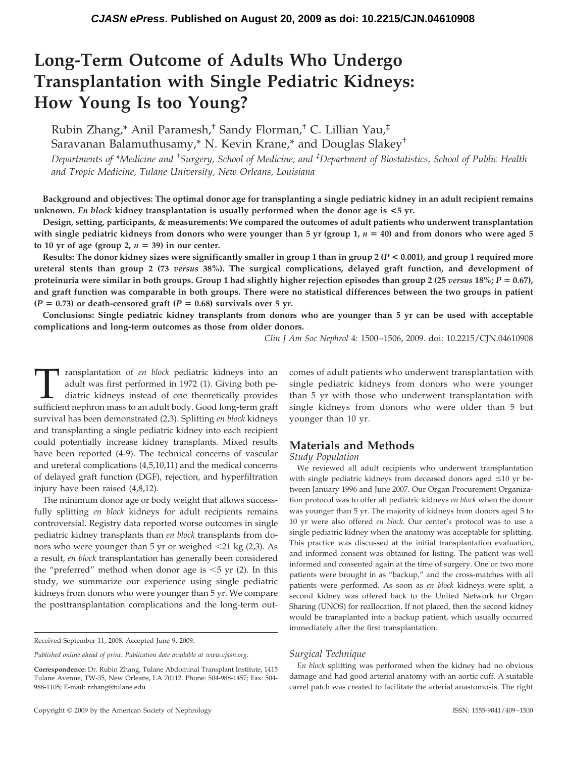# **Long-Term Outcome of Adults Who Undergo Transplantation with Single Pediatric Kidneys: How Young Is too Young?**

Rubin Zhang,\* Anil Paramesh,† Sandy Florman,† C. Lillian Yau,‡ Saravanan Balamuthusamy,\* N. Kevin Krane,\* and Douglas Slakey†

*Departments of \*Medicine and † Surgery, School of Medicine, and ‡ Department of Biostatistics, School of Public Health and Tropic Medicine, Tulane University, New Orleans, Louisiana*

**Background and objectives: The optimal donor age for transplanting a single pediatric kidney in an adult recipient remains unknown.** *En block* **kidney transplantation is usually performed when the donor age is <5 yr.**

**Design, setting, participants, & measurements: We compared the outcomes of adult patients who underwent transplantation** with single pediatric kidneys from donors who were younger than 5 yr (group  $1$ ,  $n = 40$ ) and from donors who were aged 5 to 10 yr of age (group 2,  $n = 39$ ) in our center.

**Results: The donor kidney sizes were significantly smaller in group 1 than in group 2 (***P* **< 0.001), and group 1 required more ureteral stents than group 2 (73** *versus* **38%). The surgical complications, delayed graft function, and development of proteinuria were similar in both groups. Group 1 had slightly higher rejection episodes than group 2 (25** *versus* **18%;** *P* **0.67), and graft function was comparable in both groups. There were no statistical differences between the two groups in patient**  $(P = 0.73)$  or death-censored graft  $(P = 0.68)$  survivals over 5 yr.

**Conclusions: Single pediatric kidney transplants from donors who are younger than 5 yr can be used with acceptable complications and long-term outcomes as those from older donors.**

*Clin J Am Soc Nephrol* 4: 1500 –1506, 2009. doi: 10.2215/CJN.04610908

Transplantation of *en block* pediatric kidneys into an adult was first performed in 1972 (1). Giving both pediatric kidneys instead of one theoretically provides sufficient nephron mass to an adult body. Good long-term graft survival has been demonstrated (2,3). Splitting *en block* kidneys and transplanting a single pediatric kidney into each recipient could potentially increase kidney transplants. Mixed results have been reported (4-9). The technical concerns of vascular and ureteral complications (4,5,10,11) and the medical concerns of delayed graft function (DGF), rejection, and hyperfiltration injury have been raised (4,8,12).

The minimum donor age or body weight that allows successfully splitting *en block* kidneys for adult recipients remains controversial. Registry data reported worse outcomes in single pediatric kidney transplants than *en block* transplants from donors who were younger than 5 yr or weighed 21 kg (2,3). As a result, *en block* transplantation has generally been considered the "preferred" method when donor age is  $\leq$  5 yr (2). In this study, we summarize our experience using single pediatric kidneys from donors who were younger than 5 yr. We compare the posttransplantation complications and the long-term outcomes of adult patients who underwent transplantation with single pediatric kidneys from donors who were younger than 5 yr with those who underwent transplantation with single kidneys from donors who were older than 5 but younger than 10 yr.

# **Materials and Methods**

*Study Population*

We reviewed all adult recipients who underwent transplantation with single pediatric kidneys from deceased donors aged  $\leq 10$  yr between January 1996 and June 2007. Our Organ Procurement Organization protocol was to offer all pediatric kidneys *en block* when the donor was younger than 5 yr. The majority of kidneys from donors aged 5 to 10 yr were also offered *en block*. Our center's protocol was to use a single pediatric kidney when the anatomy was acceptable for splitting. This practice was discussed at the initial transplantation evaluation, and informed consent was obtained for listing. The patient was well informed and consented again at the time of surgery. One or two more patients were brought in as "backup," and the cross-matches with all patients were performed. As soon as *en block* kidneys were split, a second kidney was offered back to the United Network for Organ Sharing (UNOS) for reallocation. If not placed, then the second kidney would be transplanted into a backup patient, which usually occurred immediately after the first transplantation.

#### *Surgical Technique*

*En block* splitting was performed when the kidney had no obvious damage and had good arterial anatomy with an aortic cuff. A suitable carrel patch was created to facilitate the arterial anastomosis. The right

Received September 11, 2008. Accepted June 9, 2009.

*Published online ahead of print. Publication date available at www.cjasn.org.*

**Correspondence:** Dr. Rubin Zhang, Tulane Abdominal Transplant Institute, 1415 Tulane Avenue, TW-35, New Orleans, LA 70112. Phone: 504-988-1457; Fax: 504- 988-1105; E-mail: rzhang@tulane.edu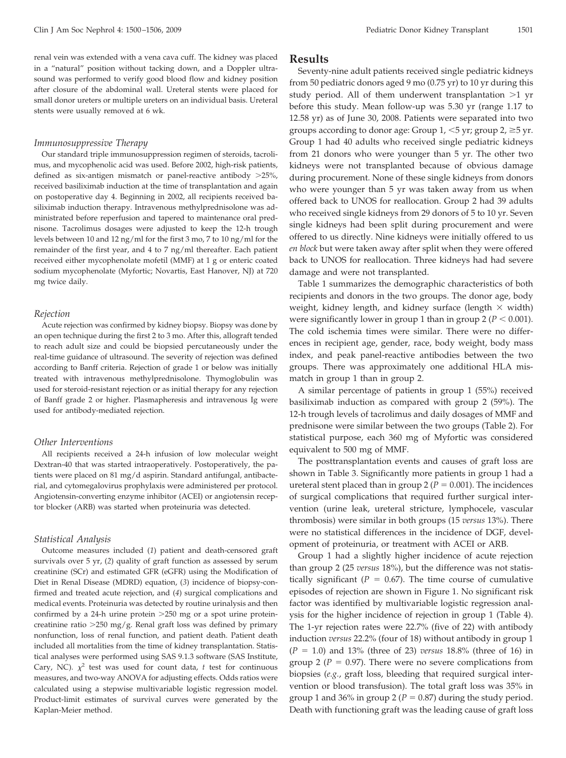renal vein was extended with a vena cava cuff. The kidney was placed in a "natural" position without tacking down, and a Doppler ultrasound was performed to verify good blood flow and kidney position after closure of the abdominal wall. Ureteral stents were placed for small donor ureters or multiple ureters on an individual basis. Ureteral stents were usually removed at 6 wk.

#### *Immunosuppressive Therapy*

Our standard triple immunosuppression regimen of steroids, tacrolimus, and mycophenolic acid was used. Before 2002, high-risk patients, defined as six-antigen mismatch or panel-reactive antibody >25%, received basiliximab induction at the time of transplantation and again on postoperative day 4. Beginning in 2002, all recipients received basiliximab induction therapy. Intravenous methylprednisolone was administrated before reperfusion and tapered to maintenance oral prednisone. Tacrolimus dosages were adjusted to keep the 12-h trough levels between 10 and 12 ng/ml for the first 3 mo, 7 to 10 ng/ml for the remainder of the first year, and 4 to 7 ng/ml thereafter. Each patient received either mycophenolate mofetil (MMF) at 1 g or enteric coated sodium mycophenolate (Myfortic; Novartis, East Hanover, NJ) at 720 mg twice daily.

#### *Rejection*

Acute rejection was confirmed by kidney biopsy. Biopsy was done by an open technique during the first 2 to 3 mo. After this, allograft tended to reach adult size and could be biopsied percutaneously under the real-time guidance of ultrasound. The severity of rejection was defined according to Banff criteria. Rejection of grade 1 or below was initially treated with intravenous methylprednisolone. Thymoglobulin was used for steroid-resistant rejection or as initial therapy for any rejection of Banff grade 2 or higher. Plasmapheresis and intravenous Ig were used for antibody-mediated rejection.

### *Other Interventions*

All recipients received a 24-h infusion of low molecular weight Dextran-40 that was started intraoperatively. Postoperatively, the patients were placed on 81 mg/d aspirin. Standard antifungal, antibacterial, and cytomegalovirus prophylaxis were administered per protocol. Angiotensin-converting enzyme inhibitor (ACEI) or angiotensin receptor blocker (ARB) was started when proteinuria was detected.

#### *Statistical Analysis*

Outcome measures included (*1*) patient and death-censored graft survivals over 5 yr, (*2*) quality of graft function as assessed by serum creatinine (SCr) and estimated GFR (eGFR) using the Modification of Diet in Renal Disease (MDRD) equation, (*3*) incidence of biopsy-confirmed and treated acute rejection, and (*4*) surgical complications and medical events. Proteinuria was detected by routine urinalysis and then confirmed by a 24-h urine protein >250 mg or a spot urine proteincreatinine ratio >250 mg/g. Renal graft loss was defined by primary nonfunction, loss of renal function, and patient death. Patient death included all mortalities from the time of kidney transplantation. Statistical analyses were performed using SAS 9.1.3 software (SAS Institute, Cary, NC).  $\chi^2$  test was used for count data, *t* test for continuous measures, and two-way ANOVA for adjusting effects. Odds ratios were calculated using a stepwise multivariable logistic regression model. Product-limit estimates of survival curves were generated by the Kaplan-Meier method.

#### **Results**

Seventy-nine adult patients received single pediatric kidneys from 50 pediatric donors aged 9 mo (0.75 yr) to 10 yr during this study period. All of them underwent transplantation >1 yr before this study. Mean follow-up was 5.30 yr (range 1.17 to 12.58 yr) as of June 30, 2008. Patients were separated into two groups according to donor age: Group  $1, \leq 5$  yr; group  $2, \geq 5$  yr. Group 1 had 40 adults who received single pediatric kidneys from 21 donors who were younger than 5 yr. The other two kidneys were not transplanted because of obvious damage during procurement. None of these single kidneys from donors who were younger than 5 yr was taken away from us when offered back to UNOS for reallocation. Group 2 had 39 adults who received single kidneys from 29 donors of 5 to 10 yr. Seven single kidneys had been split during procurement and were offered to us directly. Nine kidneys were initially offered to us *en block* but were taken away after split when they were offered back to UNOS for reallocation. Three kidneys had had severe damage and were not transplanted.

Table 1 summarizes the demographic characteristics of both recipients and donors in the two groups. The donor age, body weight, kidney length, and kidney surface (length  $\times$  width) were significantly lower in group 1 than in group 2 ( $P < 0.001$ ). The cold ischemia times were similar. There were no differences in recipient age, gender, race, body weight, body mass index, and peak panel-reactive antibodies between the two groups. There was approximately one additional HLA mismatch in group 1 than in group 2.

A similar percentage of patients in group 1 (55%) received basiliximab induction as compared with group 2 (59%). The 12-h trough levels of tacrolimus and daily dosages of MMF and prednisone were similar between the two groups (Table 2). For statistical purpose, each 360 mg of Myfortic was considered equivalent to 500 mg of MMF.

The posttransplantation events and causes of graft loss are shown in Table 3. Significantly more patients in group 1 had a ureteral stent placed than in group  $2 (P = 0.001)$ . The incidences of surgical complications that required further surgical intervention (urine leak, ureteral stricture, lymphocele, vascular thrombosis) were similar in both groups (15 *versus* 13%). There were no statistical differences in the incidence of DGF, development of proteinuria, or treatment with ACEI or ARB.

Group 1 had a slightly higher incidence of acute rejection than group 2 (25 *versus* 18%), but the difference was not statistically significant ( $P = 0.67$ ). The time course of cumulative episodes of rejection are shown in Figure 1. No significant risk factor was identified by multivariable logistic regression analysis for the higher incidence of rejection in group 1 (Table 4). The 1-yr rejection rates were 22.7% (five of 22) with antibody induction *versus* 22.2% (four of 18) without antibody in group 1 (*P* 1.0) and 13% (three of 23) *versus* 18.8% (three of 16) in group 2 ( $P = 0.97$ ). There were no severe complications from biopsies (*e.g.*, graft loss, bleeding that required surgical intervention or blood transfusion). The total graft loss was 35% in group 1 and 36% in group 2 ( $P = 0.87$ ) during the study period. Death with functioning graft was the leading cause of graft loss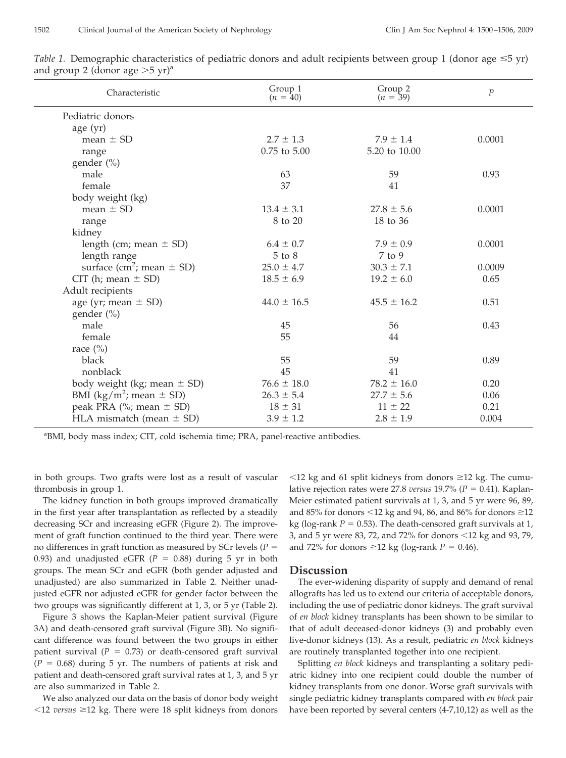| Characteristic                            | Group 1<br>$(n = 40)$ | Group 2<br>$(n = 39)$ | $\boldsymbol{P}$ |
|-------------------------------------------|-----------------------|-----------------------|------------------|
| Pediatric donors                          |                       |                       |                  |
| age(yr)                                   |                       |                       |                  |
| mean $\pm$ SD                             | $2.7 \pm 1.3$         | $7.9 \pm 1.4$         | 0.0001           |
| range                                     | $0.75$ to $5.00$      | 5.20 to 10.00         |                  |
| gender (%)                                |                       |                       |                  |
| male                                      | 63                    | 59                    | 0.93             |
| female                                    | 37                    | 41                    |                  |
| body weight (kg)                          |                       |                       |                  |
| mean $\pm$ SD                             | $13.4 \pm 3.1$        | $27.8 \pm 5.6$        | 0.0001           |
| range                                     | 8 to 20               | 18 to 36              |                  |
| kidney                                    |                       |                       |                  |
| length (cm; mean $\pm$ SD)                | $6.4 \pm 0.7$         | $7.9 \pm 0.9$         | 0.0001           |
| length range                              | $5$ to $8$            | $7$ to $9$            |                  |
| surface (cm <sup>2</sup> ; mean $\pm$ SD) | $25.0 \pm 4.7$        | $30.3 \pm 7.1$        | 0.0009           |
| CIT (h; mean $\pm$ SD)                    | $18.5 \pm 6.9$        | $19.2 \pm 6.0$        | 0.65             |
| Adult recipients                          |                       |                       |                  |
| age (yr; mean $\pm$ SD)                   | $44.0 \pm 16.5$       | $45.5 \pm 16.2$       | 0.51             |
| gender $(\% )$                            |                       |                       |                  |
| male                                      | 45                    | 56                    | 0.43             |
| female                                    | 55                    | 44                    |                  |
| race $(\%)$                               |                       |                       |                  |
| black                                     | 55                    | 59                    | 0.89             |
| nonblack                                  | 45                    | 41                    |                  |
| body weight (kg; mean $\pm$ SD)           | $76.6 \pm 18.0$       | $78.2 \pm 16.0$       | 0.20             |
| BMI ( $\text{kg/m}^2$ ; mean $\pm$ SD)    | $26.3 \pm 5.4$        | $27.7 \pm 5.6$        | 0.06             |
| peak PRA (%; mean $\pm$ SD)               | $18 \pm 31$           | $11 \pm 22$           | 0.21             |
| HLA mismatch (mean $\pm$ SD)              | $3.9 \pm 1.2$         | $2.8 \pm 1.9$         | 0.004            |

*Table 1.* Demographic characteristics of pediatric donors and adult recipients between group 1 (donor age  $\leq$ 5 yr) and group 2 (donor age  $>5$  yr)<sup>a</sup>

<sup>a</sup>BMI, body mass index; CIT, cold ischemia time; PRA, panel-reactive antibodies.

in both groups. Two grafts were lost as a result of vascular thrombosis in group 1.

The kidney function in both groups improved dramatically in the first year after transplantation as reflected by a steadily decreasing SCr and increasing eGFR (Figure 2). The improvement of graft function continued to the third year. There were no differences in graft function as measured by SCr levels (*P* 0.93) and unadjusted eGFR  $(P = 0.88)$  during 5 yr in both groups. The mean SCr and eGFR (both gender adjusted and unadjusted) are also summarized in Table 2. Neither unadjusted eGFR nor adjusted eGFR for gender factor between the two groups was significantly different at 1, 3, or 5 yr (Table 2).

Figure 3 shows the Kaplan-Meier patient survival (Figure 3A) and death-censored graft survival (Figure 3B). No significant difference was found between the two groups in either patient survival ( $P = 0.73$ ) or death-censored graft survival  $(P = 0.68)$  during 5 yr. The numbers of patients at risk and patient and death-censored graft survival rates at 1, 3, and 5 yr are also summarized in Table 2.

We also analyzed our data on the basis of donor body weight  $\leq$ 12 *versus*  $\geq$ 12 kg. There were 18 split kidneys from donors

 $12$  kg and 61 split kidneys from donors  $\geq 12$  kg. The cumulative rejection rates were 27.8 *versus* 19.7% ( $P = 0.41$ ). Kaplan-Meier estimated patient survivals at 1, 3, and 5 yr were 96, 89, and 85% for donors  $\leq$ 12 kg and 94, 86, and 86% for donors  $\geq$ 12 kg (log-rank  $P = 0.53$ ). The death-censored graft survivals at 1, 3, and 5 yr were 83, 72, and 72% for donors  $\leq 12$  kg and 93, 79, and 72% for donors  $\geq 12$  kg (log-rank *P* = 0.46).

#### **Discussion**

The ever-widening disparity of supply and demand of renal allografts has led us to extend our criteria of acceptable donors, including the use of pediatric donor kidneys. The graft survival of *en block* kidney transplants has been shown to be similar to that of adult deceased-donor kidneys (3) and probably even live-donor kidneys (13). As a result, pediatric *en block* kidneys are routinely transplanted together into one recipient.

Splitting *en block* kidneys and transplanting a solitary pediatric kidney into one recipient could double the number of kidney transplants from one donor. Worse graft survivals with single pediatric kidney transplants compared with *en block* pair have been reported by several centers (4-7,10,12) as well as the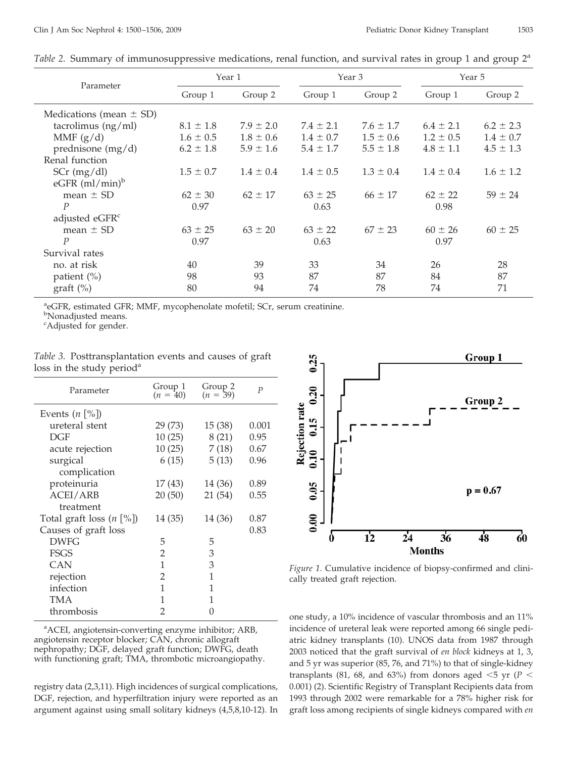|                              | Year 1        |               | Year 3        |               | Year 5        |               |
|------------------------------|---------------|---------------|---------------|---------------|---------------|---------------|
| Parameter                    | Group 1       | Group 2       | Group 1       | Group 2       | Group 1       | Group 2       |
| Medications (mean $\pm$ SD)  |               |               |               |               |               |               |
| tacrolimus $(ng/ml)$         | $8.1 \pm 1.8$ | $7.9 \pm 2.0$ | $7.4 \pm 2.1$ | $7.6 \pm 1.7$ | $6.4 \pm 2.1$ | $6.2 \pm 2.3$ |
| MMF $(g/d)$                  | $1.6 \pm 0.5$ | $1.8 \pm 0.6$ | $1.4 \pm 0.7$ | $1.5 \pm 0.6$ | $1.2 \pm 0.5$ | $1.4 \pm 0.7$ |
| prednisone $(mg/d)$          | $6.2 \pm 1.8$ | $5.9 \pm 1.6$ | $5.4 \pm 1.7$ | $5.5 \pm 1.8$ | $4.8 \pm 1.1$ | $4.5 \pm 1.3$ |
| Renal function               |               |               |               |               |               |               |
| $SCr$ (mg/dl)                | $1.5 \pm 0.7$ | $1.4 \pm 0.4$ | $1.4 \pm 0.5$ | $1.3 \pm 0.4$ | $1.4 \pm 0.4$ | $1.6 \pm 1.2$ |
| $eGFR$ (ml/min) <sup>b</sup> |               |               |               |               |               |               |
| mean $\pm$ SD                | $62 \pm 30$   | $62 \pm 17$   | $63 \pm 25$   | $66 \pm 17$   | $62 \pm 22$   | $59 \pm 24$   |
| $\boldsymbol{P}$             | 0.97          |               | 0.63          |               | 0.98          |               |
| adjusted eGFR <sup>c</sup>   |               |               |               |               |               |               |
| mean $\pm$ SD                | $63 \pm 25$   | $63 \pm 20$   | $63 \pm 22$   | $67 \pm 23$   | $60 \pm 26$   | $60 \pm 25$   |
| P                            | 0.97          |               | 0.63          |               | 0.97          |               |
| Survival rates               |               |               |               |               |               |               |
| no. at risk                  | 40            | 39            | 33            | 34            | 26            | 28            |
| patient $(\%)$               | 98            | 93            | 87            | 87            | 84            | 87            |
| graff (%)                    | 80            | 94            | 74            | 78            | 74            | 71            |

*Table 2.* Summary of immunosuppressive medications, renal function, and survival rates in group 1 and group 2<sup>a</sup>

<sup>a</sup>eGFR, estimated GFR; MMF, mycophenolate mofetil; SCr, serum creatinine.

<sup>b</sup>Nonadjusted means.

<sup>c</sup>Adjusted for gender.

*Table 3.* Posttransplantation events and causes of graft loss in the study period<sup>a</sup>

| Parameter                      | Group 1<br>$(n = 40)$ | Group 2<br>$(n = 39)$ | $\boldsymbol{P}$ |
|--------------------------------|-----------------------|-----------------------|------------------|
| Events $(n \space [\%])$       |                       |                       |                  |
| ureteral stent                 | 29 (73)               | 15(38)                | 0.001            |
| DGF                            | 10(25)                | 8(21)                 | 0.95             |
| acute rejection                | 10(25)                | 7(18)                 | 0.67             |
| surgical                       | 6(15)                 | 5(13)                 | 0.96             |
| complication                   |                       |                       |                  |
| proteinuria                    | 17 (43)               | 14 (36)               | 0.89             |
| <b>ACEI/ARB</b>                | 20(50)                | 21 (54)               | 0.55             |
| treatment                      |                       |                       |                  |
| Total graft loss $(n \, [\%])$ | 14 (35)               | 14 (36)               | 0.87             |
| Causes of graft loss           |                       |                       | 0.83             |
| <b>DWFG</b>                    | 5                     | 5                     |                  |
| FSGS                           | 2                     | 3                     |                  |
| CAN                            | 1                     | 3                     |                  |
| rejection                      | 2                     | 1                     |                  |
| infection                      | 1                     | 1                     |                  |
| TMA                            | 1                     | 1                     |                  |
| thrombosis                     | 2                     | 0                     |                  |
|                                |                       |                       |                  |

<sup>a</sup>ACEI, angiotensin-converting enzyme inhibitor; ARB, angiotensin receptor blocker; CAN, chronic allograft nephropathy; DGF, delayed graft function; DWFG, death with functioning graft; TMA, thrombotic microangiopathy.

registry data (2,3,11). High incidences of surgical complications, DGF, rejection, and hyperfiltration injury were reported as an argument against using small solitary kidneys (4,5,8,10-12). In



*Figure 1.* Cumulative incidence of biopsy-confirmed and clinically treated graft rejection.

one study, a 10% incidence of vascular thrombosis and an 11% incidence of ureteral leak were reported among 66 single pediatric kidney transplants (10). UNOS data from 1987 through 2003 noticed that the graft survival of *en block* kidneys at 1, 3, and 5 yr was superior (85, 76, and 71%) to that of single-kidney transplants (81, 68, and 63%) from donors aged  $\leq$ 5 yr (*P*  $\leq$ 0.001) (2). Scientific Registry of Transplant Recipients data from 1993 through 2002 were remarkable for a 78% higher risk for graft loss among recipients of single kidneys compared with *en*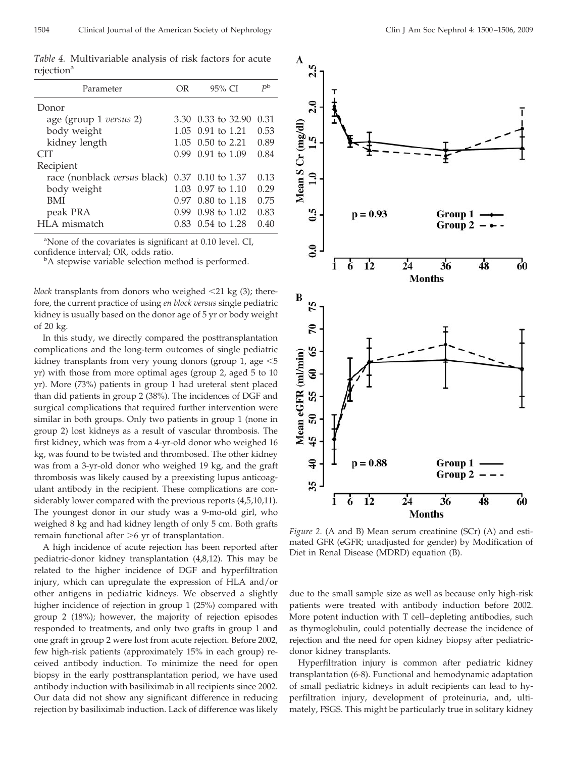*Table 4.* Multivariable analysis of risk factors for acute rejection<sup>a</sup>

| Parameter                           | OR   | 95% CI                    | $P^{\rm b}$ |
|-------------------------------------|------|---------------------------|-------------|
| Donor                               |      |                           |             |
| age (group 1 versus 2)              |      | 3.30 0.33 to 32.90        | 0.31        |
| body weight                         |      | 1.05 0.91 to 1.21         | 0.53        |
| kidney length                       |      | $1.05$ 0.50 to 2.21       | 0.89        |
| <b>CIT</b>                          |      | $0.99$ $0.91$ to $1.09$   | 0.84        |
| Recipient                           |      |                           |             |
| race (nonblack <i>versus</i> black) |      | $0.37$ 0.10 to 1.37       | 0.13        |
| body weight                         |      | $1.03 \pm 0.97$ to $1.10$ | 0.29        |
| BMI                                 | በ 97 | 0.80 to 1.18              | 0.75        |
| peak PRA                            | O 99 | $0.98$ to $1.02$          | 0.83        |
| HLA mismatch                        | 0.83 | $0.54$ to 1.28            | 0.40        |

<sup>a</sup>None of the covariates is significant at 0.10 level. CI, confidence interval; OR, odds ratio.

<sup>b</sup>A stepwise variable selection method is performed.

*block* transplants from donors who weighed 21 kg (3); therefore, the current practice of using *en block versus* single pediatric kidney is usually based on the donor age of 5 yr or body weight of 20 kg.

In this study, we directly compared the posttransplantation complications and the long-term outcomes of single pediatric kidney transplants from very young donors (group 1, age  $\leq 5$ yr) with those from more optimal ages (group 2, aged 5 to 10 yr). More (73%) patients in group 1 had ureteral stent placed than did patients in group 2 (38%). The incidences of DGF and surgical complications that required further intervention were similar in both groups. Only two patients in group 1 (none in group 2) lost kidneys as a result of vascular thrombosis. The first kidney, which was from a 4-yr-old donor who weighed 16 kg, was found to be twisted and thrombosed. The other kidney was from a 3-yr-old donor who weighed 19 kg, and the graft thrombosis was likely caused by a preexisting lupus anticoagulant antibody in the recipient. These complications are considerably lower compared with the previous reports (4,5,10,11). The youngest donor in our study was a 9-mo-old girl, who weighed 8 kg and had kidney length of only 5 cm. Both grafts remain functional after >6 yr of transplantation.

A high incidence of acute rejection has been reported after pediatric-donor kidney transplantation (4,8,12). This may be related to the higher incidence of DGF and hyperfiltration injury, which can upregulate the expression of HLA and/or other antigens in pediatric kidneys. We observed a slightly higher incidence of rejection in group 1 (25%) compared with group 2 (18%); however, the majority of rejection episodes responded to treatments, and only two grafts in group 1 and one graft in group 2 were lost from acute rejection. Before 2002, few high-risk patients (approximately 15% in each group) received antibody induction. To minimize the need for open biopsy in the early posttransplantation period, we have used antibody induction with basiliximab in all recipients since 2002. Our data did not show any significant difference in reducing rejection by basiliximab induction. Lack of difference was likely



*Figure 2.* (A and B) Mean serum creatinine (SCr) (A) and estimated GFR (eGFR; unadjusted for gender) by Modification of Diet in Renal Disease (MDRD) equation (B).

due to the small sample size as well as because only high-risk patients were treated with antibody induction before 2002. More potent induction with T cell–depleting antibodies, such as thymoglobulin, could potentially decrease the incidence of rejection and the need for open kidney biopsy after pediatricdonor kidney transplants.

Hyperfiltration injury is common after pediatric kidney transplantation (6-8). Functional and hemodynamic adaptation of small pediatric kidneys in adult recipients can lead to hyperfiltration injury, development of proteinuria, and, ultimately, FSGS. This might be particularly true in solitary kidney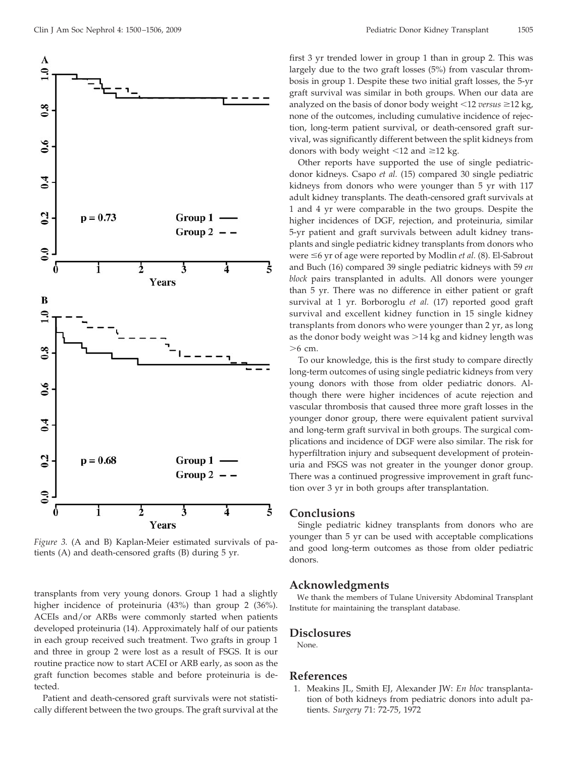

*Figure 3.* (A and B) Kaplan-Meier estimated survivals of patients (A) and death-censored grafts (B) during 5 yr.

transplants from very young donors. Group 1 had a slightly higher incidence of proteinuria (43%) than group 2 (36%). ACEIs and/or ARBs were commonly started when patients developed proteinuria (14). Approximately half of our patients in each group received such treatment. Two grafts in group 1 and three in group 2 were lost as a result of FSGS. It is our routine practice now to start ACEI or ARB early, as soon as the graft function becomes stable and before proteinuria is detected.

Patient and death-censored graft survivals were not statistically different between the two groups. The graft survival at the first 3 yr trended lower in group 1 than in group 2. This was largely due to the two graft losses (5%) from vascular thrombosis in group 1. Despite these two initial graft losses, the 5-yr graft survival was similar in both groups. When our data are analyzed on the basis of donor body weight  $\leq 12$  *versus*  $\geq 12$  kg, none of the outcomes, including cumulative incidence of rejection, long-term patient survival, or death-censored graft survival, was significantly different between the split kidneys from donors with body weight  $\leq 12$  and  $\geq 12$  kg.

Other reports have supported the use of single pediatricdonor kidneys. Csapo *et al.* (15) compared 30 single pediatric kidneys from donors who were younger than 5 yr with 117 adult kidney transplants. The death-censored graft survivals at 1 and 4 yr were comparable in the two groups. Despite the higher incidences of DGF, rejection, and proteinuria, similar 5-yr patient and graft survivals between adult kidney transplants and single pediatric kidney transplants from donors who were ≤6 yr of age were reported by Modlin *et al.* (8). El-Sabrout and Buch (16) compared 39 single pediatric kidneys with 59 *en block* pairs transplanted in adults. All donors were younger than 5 yr. There was no difference in either patient or graft survival at 1 yr. Borboroglu *et al.* (17) reported good graft survival and excellent kidney function in 15 single kidney transplants from donors who were younger than 2 yr, as long as the donor body weight was >14 kg and kidney length was -6 cm.

To our knowledge, this is the first study to compare directly long-term outcomes of using single pediatric kidneys from very young donors with those from older pediatric donors. Although there were higher incidences of acute rejection and vascular thrombosis that caused three more graft losses in the younger donor group, there were equivalent patient survival and long-term graft survival in both groups. The surgical complications and incidence of DGF were also similar. The risk for hyperfiltration injury and subsequent development of proteinuria and FSGS was not greater in the younger donor group. There was a continued progressive improvement in graft function over 3 yr in both groups after transplantation.

# **Conclusions**

Single pediatric kidney transplants from donors who are younger than 5 yr can be used with acceptable complications and good long-term outcomes as those from older pediatric donors.

#### **Acknowledgments**

We thank the members of Tulane University Abdominal Transplant Institute for maintaining the transplant database.

## **Disclosures**

None.

# **References**

1. Meakins JL, Smith EJ, Alexander JW: *En bloc* transplantation of both kidneys from pediatric donors into adult patients. *Surgery* 71: 72-75, 1972